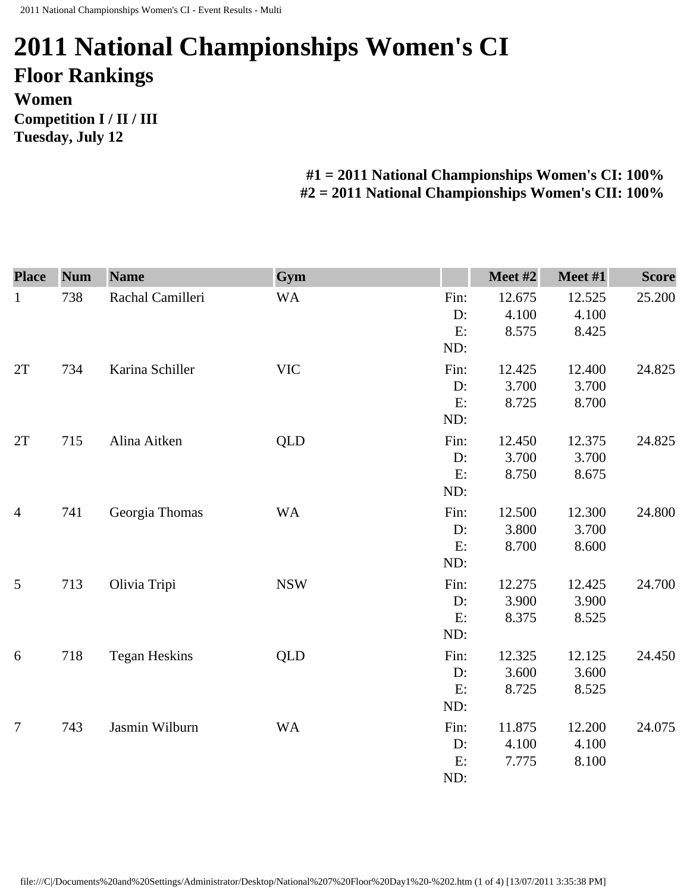## **2011 National Championships Women's CI Floor Rankings Women Competition I / II / III Tuesday, July 12**

## **#1 = 2011 National Championships Women's CI: 100% #2 = 2011 National Championships Women's CII: 100%**

| <b>Place</b>   | <b>Num</b> | <b>Name</b>          | Gym        |                         | Meet #2                  | Meet #1                  | <b>Score</b> |
|----------------|------------|----------------------|------------|-------------------------|--------------------------|--------------------------|--------------|
| $\mathbf{1}$   | 738        | Rachal Camilleri     | <b>WA</b>  | Fin:<br>D:<br>E:<br>ND: | 12.675<br>4.100<br>8.575 | 12.525<br>4.100<br>8.425 | 25.200       |
| 2T             | 734        | Karina Schiller      | <b>VIC</b> | Fin:<br>D:<br>E:<br>ND: | 12.425<br>3.700<br>8.725 | 12.400<br>3.700<br>8.700 | 24.825       |
| 2T             | 715        | Alina Aitken         | QLD        | Fin:<br>D:<br>E:<br>ND: | 12.450<br>3.700<br>8.750 | 12.375<br>3.700<br>8.675 | 24.825       |
| $\overline{4}$ | 741        | Georgia Thomas       | <b>WA</b>  | Fin:<br>D:<br>E:<br>ND: | 12.500<br>3.800<br>8.700 | 12.300<br>3.700<br>8.600 | 24.800       |
| 5              | 713        | Olivia Tripi         | <b>NSW</b> | Fin:<br>D:<br>E:<br>ND: | 12.275<br>3.900<br>8.375 | 12.425<br>3.900<br>8.525 | 24.700       |
| 6              | 718        | <b>Tegan Heskins</b> | <b>QLD</b> | Fin:<br>D:<br>E:<br>ND: | 12.325<br>3.600<br>8.725 | 12.125<br>3.600<br>8.525 | 24.450       |
| $\overline{7}$ | 743        | Jasmin Wilburn       | <b>WA</b>  | Fin:<br>D:<br>E:<br>ND: | 11.875<br>4.100<br>7.775 | 12.200<br>4.100<br>8.100 | 24.075       |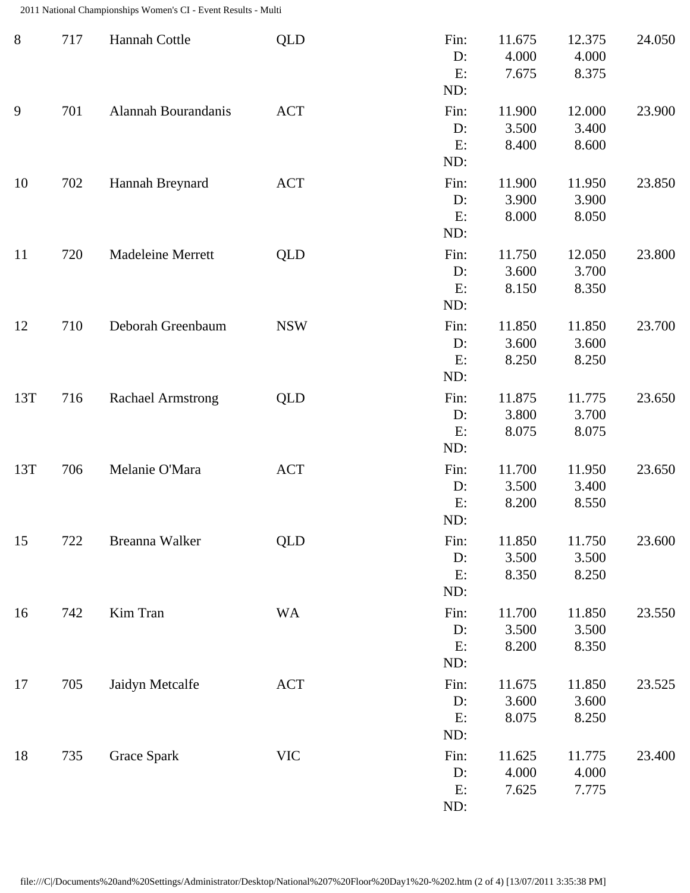2011 National Championships Women's CI - Event Results - Multi

| $8\,$ | 717 | Hannah Cottle            | <b>QLD</b> | Fin:<br>D:<br>E:<br>ND:    | 11.675<br>4.000<br>7.675 | 12.375<br>4.000<br>8.375 | 24.050 |
|-------|-----|--------------------------|------------|----------------------------|--------------------------|--------------------------|--------|
| 9     | 701 | Alannah Bourandanis      | <b>ACT</b> | Fin:<br>$D$ :<br>E:<br>ND: | 11.900<br>3.500<br>8.400 | 12.000<br>3.400<br>8.600 | 23.900 |
| 10    | 702 | Hannah Breynard          | <b>ACT</b> | Fin:<br>D:<br>E:<br>ND:    | 11.900<br>3.900<br>8.000 | 11.950<br>3.900<br>8.050 | 23.850 |
| 11    | 720 | <b>Madeleine Merrett</b> | <b>QLD</b> | Fin:<br>D:<br>E:<br>ND:    | 11.750<br>3.600<br>8.150 | 12.050<br>3.700<br>8.350 | 23.800 |
| 12    | 710 | Deborah Greenbaum        | <b>NSW</b> | Fin:<br>D:<br>E:<br>ND:    | 11.850<br>3.600<br>8.250 | 11.850<br>3.600<br>8.250 | 23.700 |
| 13T   | 716 | <b>Rachael Armstrong</b> | QLD        | Fin:<br>D:<br>E:<br>ND:    | 11.875<br>3.800<br>8.075 | 11.775<br>3.700<br>8.075 | 23.650 |
| 13T   | 706 | Melanie O'Mara           | <b>ACT</b> | Fin:<br>D:<br>E:<br>ND:    | 11.700<br>3.500<br>8.200 | 11.950<br>3.400<br>8.550 | 23.650 |
| 15    | 722 | Breanna Walker           | <b>QLD</b> | Fin:<br>D:<br>E:<br>ND:    | 11.850<br>3.500<br>8.350 | 11.750<br>3.500<br>8.250 | 23.600 |
| 16    | 742 | Kim Tran                 | <b>WA</b>  | Fin:<br>D:<br>E:<br>ND:    | 11.700<br>3.500<br>8.200 | 11.850<br>3.500<br>8.350 | 23.550 |
| 17    | 705 | Jaidyn Metcalfe          | <b>ACT</b> | Fin:<br>D:<br>E:<br>ND:    | 11.675<br>3.600<br>8.075 | 11.850<br>3.600<br>8.250 | 23.525 |
| 18    | 735 | <b>Grace Spark</b>       | <b>VIC</b> | Fin:<br>D:<br>E:<br>ND:    | 11.625<br>4.000<br>7.625 | 11.775<br>4.000<br>7.775 | 23.400 |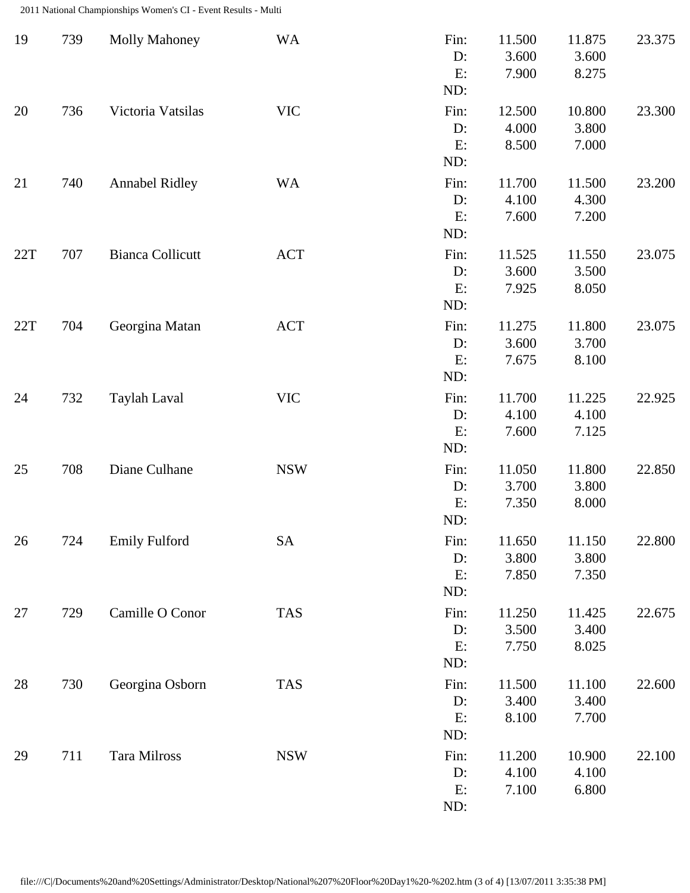2011 National Championships Women's CI - Event Results - Multi

| 19  | 739 | <b>Molly Mahoney</b>    | <b>WA</b>  | Fin:<br>D:<br>E:<br>ND: | 11.500<br>3.600<br>7.900 | 11.875<br>3.600<br>8.275 | 23.375 |
|-----|-----|-------------------------|------------|-------------------------|--------------------------|--------------------------|--------|
| 20  | 736 | Victoria Vatsilas       | <b>VIC</b> | Fin:<br>D:<br>E:<br>ND: | 12.500<br>4.000<br>8.500 | 10.800<br>3.800<br>7.000 | 23.300 |
| 21  | 740 | <b>Annabel Ridley</b>   | <b>WA</b>  | Fin:<br>D:<br>E:<br>ND: | 11.700<br>4.100<br>7.600 | 11.500<br>4.300<br>7.200 | 23.200 |
| 22T | 707 | <b>Bianca Collicutt</b> | <b>ACT</b> | Fin:<br>D:<br>E:<br>ND: | 11.525<br>3.600<br>7.925 | 11.550<br>3.500<br>8.050 | 23.075 |
| 22T | 704 | Georgina Matan          | <b>ACT</b> | Fin:<br>D:<br>E:<br>ND: | 11.275<br>3.600<br>7.675 | 11.800<br>3.700<br>8.100 | 23.075 |
| 24  | 732 | Taylah Laval            | <b>VIC</b> | Fin:<br>D:<br>E:<br>ND: | 11.700<br>4.100<br>7.600 | 11.225<br>4.100<br>7.125 | 22.925 |
| 25  | 708 | Diane Culhane           | <b>NSW</b> | Fin:<br>D:<br>E:<br>ND: | 11.050<br>3.700<br>7.350 | 11.800<br>3.800<br>8.000 | 22.850 |
| 26  | 724 | <b>Emily Fulford</b>    | <b>SA</b>  | Fin:<br>D:<br>E:<br>ND: | 11.650<br>3.800<br>7.850 | 11.150<br>3.800<br>7.350 | 22.800 |
| 27  | 729 | Camille O Conor         | <b>TAS</b> | Fin:<br>D:<br>E:<br>ND: | 11.250<br>3.500<br>7.750 | 11.425<br>3.400<br>8.025 | 22.675 |
| 28  | 730 | Georgina Osborn         | <b>TAS</b> | Fin:<br>D:<br>E:<br>ND: | 11.500<br>3.400<br>8.100 | 11.100<br>3.400<br>7.700 | 22.600 |
| 29  | 711 | Tara Milross            | <b>NSW</b> | Fin:<br>D:<br>E:<br>ND: | 11.200<br>4.100<br>7.100 | 10.900<br>4.100<br>6.800 | 22.100 |